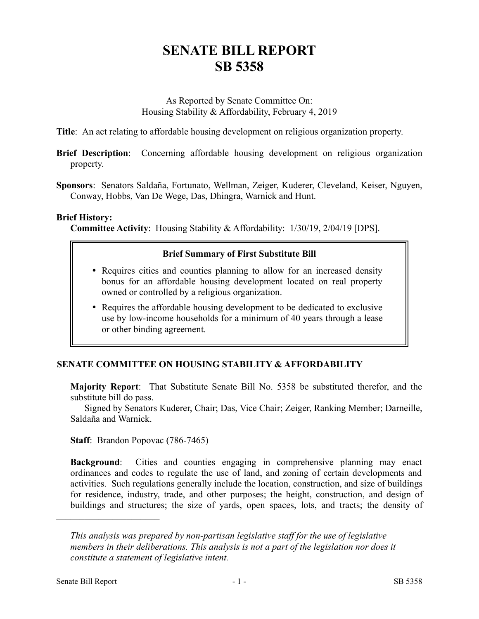# **SENATE BILL REPORT SB 5358**

As Reported by Senate Committee On: Housing Stability & Affordability, February 4, 2019

**Title**: An act relating to affordable housing development on religious organization property.

- **Brief Description**: Concerning affordable housing development on religious organization property.
- **Sponsors**: Senators Saldaña, Fortunato, Wellman, Zeiger, Kuderer, Cleveland, Keiser, Nguyen, Conway, Hobbs, Van De Wege, Das, Dhingra, Warnick and Hunt.

#### **Brief History:**

**Committee Activity**: Housing Stability & Affordability: 1/30/19, 2/04/19 [DPS].

## **Brief Summary of First Substitute Bill**

- Requires cities and counties planning to allow for an increased density bonus for an affordable housing development located on real property owned or controlled by a religious organization.
- Requires the affordable housing development to be dedicated to exclusive use by low-income households for a minimum of 40 years through a lease or other binding agreement.

## **SENATE COMMITTEE ON HOUSING STABILITY & AFFORDABILITY**

**Majority Report**: That Substitute Senate Bill No. 5358 be substituted therefor, and the substitute bill do pass.

Signed by Senators Kuderer, Chair; Das, Vice Chair; Zeiger, Ranking Member; Darneille, Saldaña and Warnick.

**Staff**: Brandon Popovac (786-7465)

**Background**: Cities and counties engaging in comprehensive planning may enact ordinances and codes to regulate the use of land, and zoning of certain developments and activities. Such regulations generally include the location, construction, and size of buildings for residence, industry, trade, and other purposes; the height, construction, and design of buildings and structures; the size of yards, open spaces, lots, and tracts; the density of

––––––––––––––––––––––

*This analysis was prepared by non-partisan legislative staff for the use of legislative members in their deliberations. This analysis is not a part of the legislation nor does it constitute a statement of legislative intent.*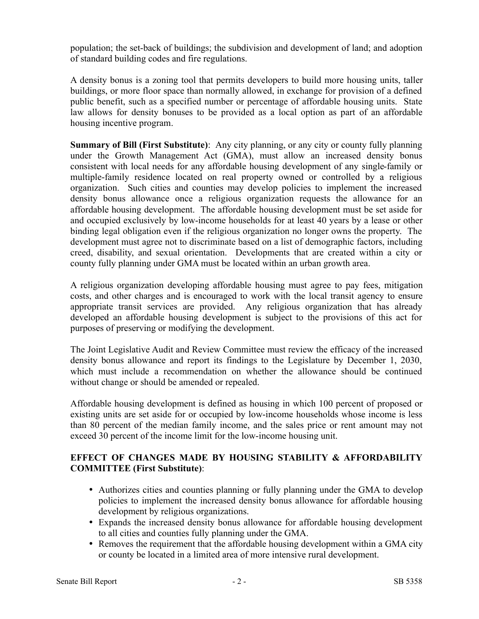population; the set-back of buildings; the subdivision and development of land; and adoption of standard building codes and fire regulations.

A density bonus is a zoning tool that permits developers to build more housing units, taller buildings, or more floor space than normally allowed, in exchange for provision of a defined public benefit, such as a specified number or percentage of affordable housing units. State law allows for density bonuses to be provided as a local option as part of an affordable housing incentive program.

**Summary of Bill (First Substitute)**: Any city planning, or any city or county fully planning under the Growth Management Act (GMA), must allow an increased density bonus consistent with local needs for any affordable housing development of any single-family or multiple-family residence located on real property owned or controlled by a religious organization. Such cities and counties may develop policies to implement the increased density bonus allowance once a religious organization requests the allowance for an affordable housing development. The affordable housing development must be set aside for and occupied exclusively by low-income households for at least 40 years by a lease or other binding legal obligation even if the religious organization no longer owns the property. The development must agree not to discriminate based on a list of demographic factors, including creed, disability, and sexual orientation. Developments that are created within a city or county fully planning under GMA must be located within an urban growth area.

A religious organization developing affordable housing must agree to pay fees, mitigation costs, and other charges and is encouraged to work with the local transit agency to ensure appropriate transit services are provided. Any religious organization that has already developed an affordable housing development is subject to the provisions of this act for purposes of preserving or modifying the development.

The Joint Legislative Audit and Review Committee must review the efficacy of the increased density bonus allowance and report its findings to the Legislature by December 1, 2030, which must include a recommendation on whether the allowance should be continued without change or should be amended or repealed.

Affordable housing development is defined as housing in which 100 percent of proposed or existing units are set aside for or occupied by low-income households whose income is less than 80 percent of the median family income, and the sales price or rent amount may not exceed 30 percent of the income limit for the low-income housing unit.

# **EFFECT OF CHANGES MADE BY HOUSING STABILITY & AFFORDABILITY COMMITTEE (First Substitute)**:

- Authorizes cities and counties planning or fully planning under the GMA to develop policies to implement the increased density bonus allowance for affordable housing development by religious organizations.
- Expands the increased density bonus allowance for affordable housing development to all cities and counties fully planning under the GMA.
- Removes the requirement that the affordable housing development within a GMA city or county be located in a limited area of more intensive rural development.